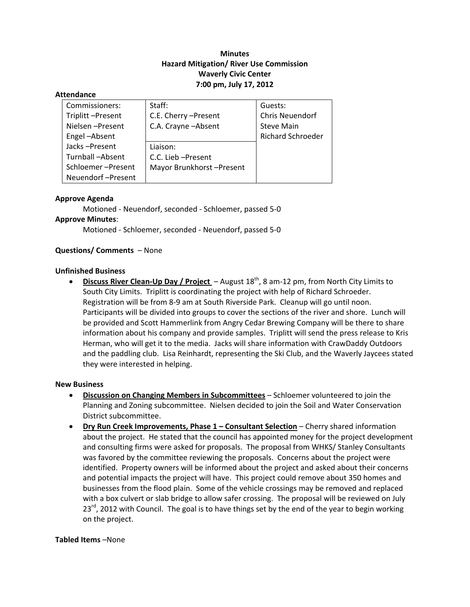# **Minutes Hazard Mitigation/ River Use Commission Waverly Civic Center 7:00 pm, July 17, 2012**

#### **Attendance**

| Commissioners:    | Staff:                   | Guests:                  |
|-------------------|--------------------------|--------------------------|
| Triplitt-Present  | C.E. Cherry - Present    | Chris Neuendorf          |
| Nielsen-Present   | C.A. Crayne - Absent     | <b>Steve Main</b>        |
| Engel-Absent      |                          | <b>Richard Schroeder</b> |
| Jacks-Present     | Liaison:                 |                          |
| Turnball-Absent   | C.C. Lieb - Present      |                          |
| Schloemer-Present | Mayor Brunkhorst-Present |                          |
| Neuendorf-Present |                          |                          |

#### **Approve Agenda**

Motioned ‐ Neuendorf, seconded ‐ Schloemer, passed 5‐0 **Approve Minutes**: Motioned ‐ Schloemer, seconded ‐ Neuendorf, passed 5‐0

### **Questions/ Comments** – None

#### **Unfinished Business**

 **Discuss River Clean‐Up Day / Project** – August 18th, 8 am‐12 pm, from North City Limits to South City Limits. Triplitt is coordinating the project with help of Richard Schroeder. Registration will be from 8‐9 am at South Riverside Park. Cleanup will go until noon. Participants will be divided into groups to cover the sections of the river and shore. Lunch will be provided and Scott Hammerlink from Angry Cedar Brewing Company will be there to share information about his company and provide samples. Triplitt will send the press release to Kris Herman, who will get it to the media. Jacks will share information with CrawDaddy Outdoors and the paddling club. Lisa Reinhardt, representing the Ski Club, and the Waverly Jaycees stated they were interested in helping.

#### **New Business**

- **Discussion on Changing Members in Subcommittees** Schloemer volunteered to join the Planning and Zoning subcommittee. Nielsen decided to join the Soil and Water Conservation District subcommittee.
- **Dry Run Creek Improvements, Phase 1 – Consultant Selection** Cherry shared information about the project. He stated that the council has appointed money for the project development and consulting firms were asked for proposals. The proposal from WHKS/ Stanley Consultants was favored by the committee reviewing the proposals. Concerns about the project were identified. Property owners will be informed about the project and asked about their concerns and potential impacts the project will have. This project could remove about 350 homes and businesses from the flood plain. Some of the vehicle crossings may be removed and replaced with a box culvert or slab bridge to allow safer crossing. The proposal will be reviewed on July  $23<sup>rd</sup>$ , 2012 with Council. The goal is to have things set by the end of the year to begin working on the project.

#### **Tabled Items** –None